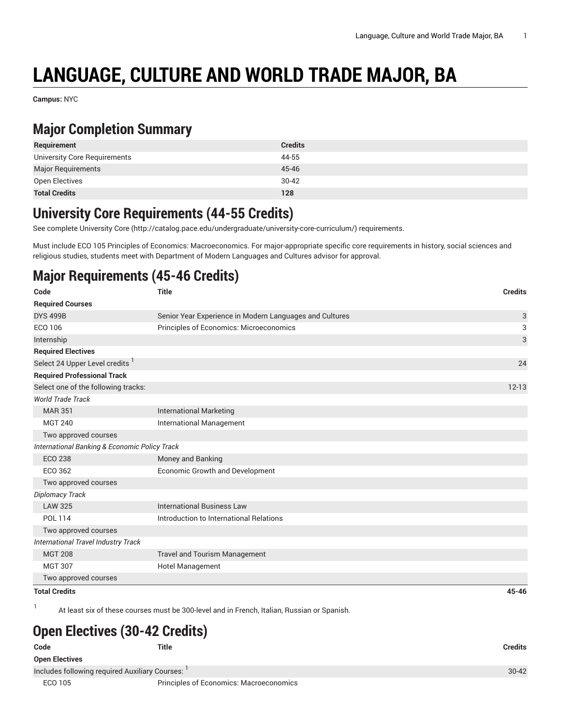# **LANGUAGE, CULTURE AND WORLD TRADE MAJOR, BA**

**Campus:** NYC

### **Major Completion Summary**

| Requirement                  | <b>Credits</b> |
|------------------------------|----------------|
| University Core Requirements | 44-55          |
| <b>Major Requirements</b>    | 45-46          |
| Open Electives               | $30 - 42$      |
| <b>Total Credits</b>         | 128            |

#### **University Core Requirements (44-55 Credits)**

See complete [University](http://catalog.pace.edu/undergraduate/university-core-curriculum/) Core (<http://catalog.pace.edu/undergraduate/university-core-curriculum/>) requirements.

Must include ECO 105 Principles of Economics: Macroeconomics. For major-appropriate specific core requirements in history, social sciences and religious studies, students meet with Department of Modern Languages and Cultures advisor for approval.

## **Major Requirements (45-46 Credits)**

| Code                                          | <b>Title</b>                                            | <b>Credits</b> |
|-----------------------------------------------|---------------------------------------------------------|----------------|
| <b>Required Courses</b>                       |                                                         |                |
| <b>DYS 499B</b>                               | Senior Year Experience in Modern Languages and Cultures | 3              |
| ECO 106                                       | Principles of Economics: Microeconomics                 | 3              |
| Internship                                    |                                                         | $\sqrt{3}$     |
| <b>Required Electives</b>                     |                                                         |                |
| Select 24 Upper Level credits                 |                                                         | 24             |
| <b>Required Professional Track</b>            |                                                         |                |
| Select one of the following tracks:           |                                                         | $12 - 13$      |
| <b>World Trade Track</b>                      |                                                         |                |
| <b>MAR 351</b>                                | <b>International Marketing</b>                          |                |
| <b>MGT 240</b>                                | <b>International Management</b>                         |                |
| Two approved courses                          |                                                         |                |
| International Banking & Economic Policy Track |                                                         |                |
| <b>ECO 238</b>                                | Money and Banking                                       |                |
| ECO 362                                       | Economic Growth and Development                         |                |
| Two approved courses                          |                                                         |                |
| Diplomacy Track                               |                                                         |                |
| <b>LAW 325</b>                                | <b>International Business Law</b>                       |                |
| <b>POL 114</b>                                | Introduction to International Relations                 |                |
| Two approved courses                          |                                                         |                |
| International Travel Industry Track           |                                                         |                |
| <b>MGT 208</b>                                | <b>Travel and Tourism Management</b>                    |                |
| <b>MGT 307</b>                                | Hotel Management                                        |                |
| Two approved courses                          |                                                         |                |
| <b>Total Credits</b>                          |                                                         | $45 - 46$      |

1

At least six of these courses must be 300-level and in French, Italian, Russian or Spanish.

### **Open Electives (30-42 Credits)**

**Code Title Credits Open Electives** Includes following required Auxiliary Courses: 1 ECO 105 Principles of Economics: Macroeconomics